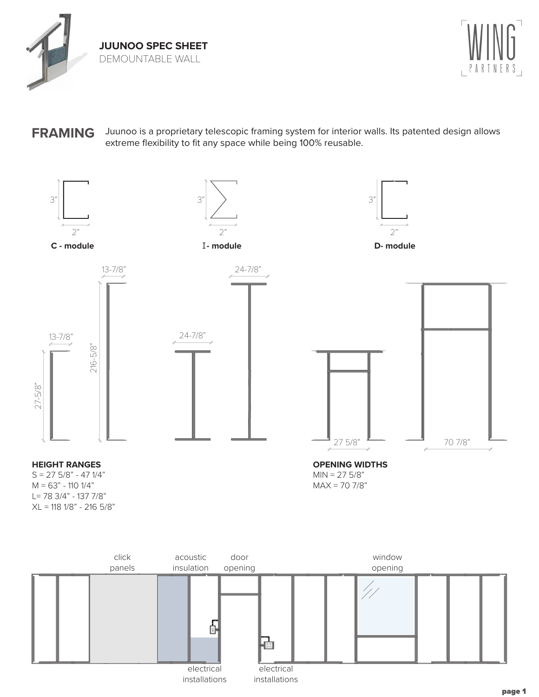



## **FRAMING** Juunoo is a proprietary telescopic framing system for interior walls. Its patented design allows extreme flexibility to fit any space while being 100% reusable.



electrical installations

electrical installations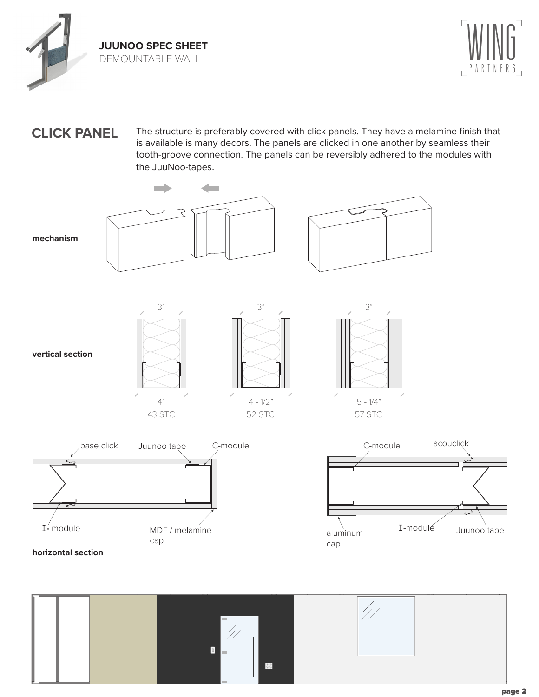



## **CLICK PANEL** The structure is preferably covered with click panels. They have a melamine finish that is available is many decors. The panels are clicked in one another by seamless their tooth-groove connection. The panels can be reversibly adhered to the modules with the JuuNoo-tapes.